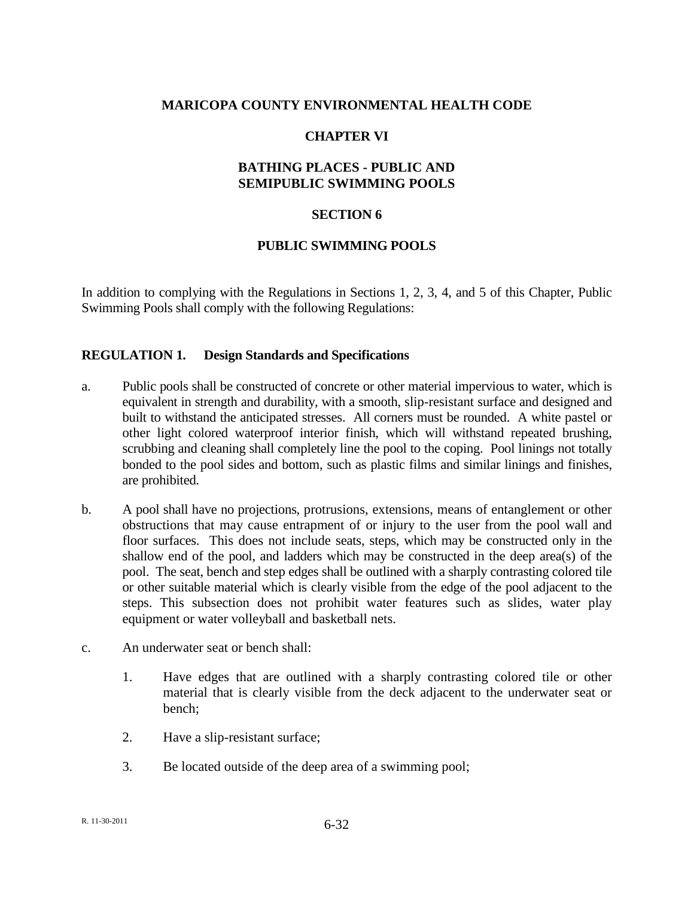#### **MARICOPA COUNTY ENVIRONMENTAL HEALTH CODE**

#### **CHAPTER VI**

#### **BATHING PLACES - PUBLIC AND SEMIPUBLIC SWIMMING POOLS**

#### **SECTION 6**

#### **PUBLIC SWIMMING POOLS**

In addition to complying with the Regulations in Sections 1, 2, 3, 4, and 5 of this Chapter, Public Swimming Pools shall comply with the following Regulations:

#### **REGULATION 1. Design Standards and Specifications**

- a. Public pools shall be constructed of concrete or other material impervious to water, which is equivalent in strength and durability, with a smooth, slip-resistant surface and designed and built to withstand the anticipated stresses. All corners must be rounded. A white pastel or other light colored waterproof interior finish, which will withstand repeated brushing, scrubbing and cleaning shall completely line the pool to the coping. Pool linings not totally bonded to the pool sides and bottom, such as plastic films and similar linings and finishes, are prohibited.
- b. A pool shall have no projections, protrusions, extensions, means of entanglement or other obstructions that may cause entrapment of or injury to the user from the pool wall and floor surfaces. This does not include seats, steps, which may be constructed only in the shallow end of the pool, and ladders which may be constructed in the deep area(s) of the pool. The seat, bench and step edges shall be outlined with a sharply contrasting colored tile or other suitable material which is clearly visible from the edge of the pool adjacent to the steps. This subsection does not prohibit water features such as slides, water play equipment or water volleyball and basketball nets.
- c. An underwater seat or bench shall:
	- 1. Have edges that are outlined with a sharply contrasting colored tile or other material that is clearly visible from the deck adjacent to the underwater seat or bench;
	- 2. Have a slip-resistant surface;
	- 3. Be located outside of the deep area of a swimming pool;

R. 11-30-2011 6-32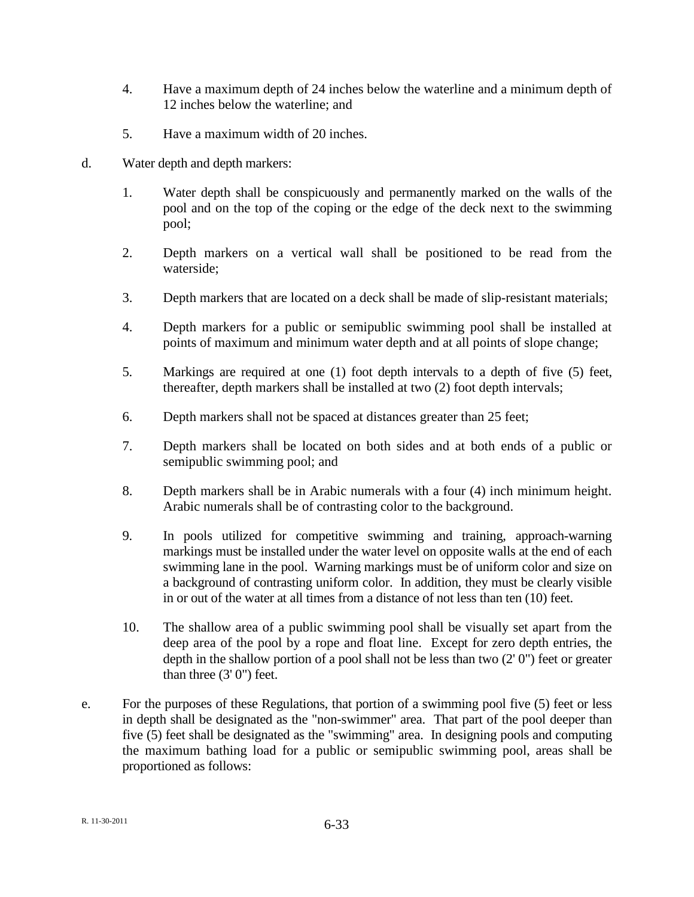- 4. Have a maximum depth of 24 inches below the waterline and a minimum depth of 12 inches below the waterline; and
- 5. Have a maximum width of 20 inches.
- d. Water depth and depth markers:
	- 1. Water depth shall be conspicuously and permanently marked on the walls of the pool and on the top of the coping or the edge of the deck next to the swimming pool;
	- 2. Depth markers on a vertical wall shall be positioned to be read from the waterside;
	- 3. Depth markers that are located on a deck shall be made of slip-resistant materials;
	- 4. Depth markers for a public or semipublic swimming pool shall be installed at points of maximum and minimum water depth and at all points of slope change;
	- 5. Markings are required at one (1) foot depth intervals to a depth of five (5) feet, thereafter, depth markers shall be installed at two (2) foot depth intervals;
	- 6. Depth markers shall not be spaced at distances greater than 25 feet;
	- 7. Depth markers shall be located on both sides and at both ends of a public or semipublic swimming pool; and
	- 8. Depth markers shall be in Arabic numerals with a four (4) inch minimum height. Arabic numerals shall be of contrasting color to the background.
	- 9. In pools utilized for competitive swimming and training, approach-warning markings must be installed under the water level on opposite walls at the end of each swimming lane in the pool. Warning markings must be of uniform color and size on a background of contrasting uniform color. In addition, they must be clearly visible in or out of the water at all times from a distance of not less than ten (10) feet.
	- 10. The shallow area of a public swimming pool shall be visually set apart from the deep area of the pool by a rope and float line. Except for zero depth entries, the depth in the shallow portion of a pool shall not be less than two (2' 0") feet or greater than three (3' 0") feet.
- e. For the purposes of these Regulations, that portion of a swimming pool five (5) feet or less in depth shall be designated as the "non-swimmer" area. That part of the pool deeper than five (5) feet shall be designated as the "swimming" area. In designing pools and computing the maximum bathing load for a public or semipublic swimming pool, areas shall be proportioned as follows: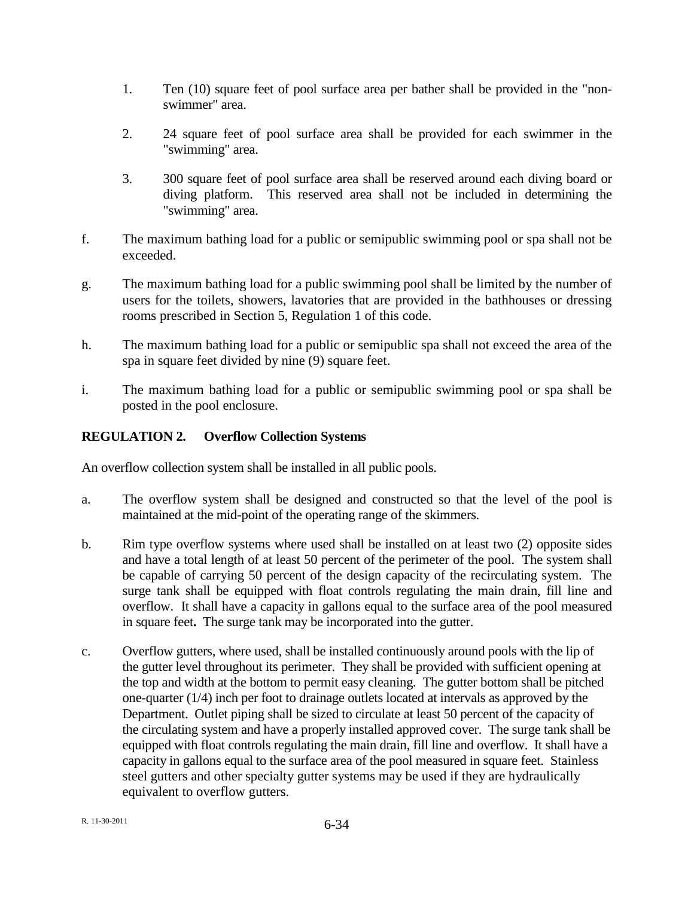- 1. Ten (10) square feet of pool surface area per bather shall be provided in the "nonswimmer" area.
- 2. 24 square feet of pool surface area shall be provided for each swimmer in the "swimming" area.
- 3. 300 square feet of pool surface area shall be reserved around each diving board or diving platform. This reserved area shall not be included in determining the "swimming" area.
- f. The maximum bathing load for a public or semipublic swimming pool or spa shall not be exceeded.
- g. The maximum bathing load for a public swimming pool shall be limited by the number of users for the toilets, showers, lavatories that are provided in the bathhouses or dressing rooms prescribed in Section 5, Regulation 1 of this code.
- h. The maximum bathing load for a public or semipublic spa shall not exceed the area of the spa in square feet divided by nine (9) square feet.
- i. The maximum bathing load for a public or semipublic swimming pool or spa shall be posted in the pool enclosure.

# **REGULATION 2. Overflow Collection Systems**

An overflow collection system shall be installed in all public pools.

- a. The overflow system shall be designed and constructed so that the level of the pool is maintained at the mid-point of the operating range of the skimmers.
- b. Rim type overflow systems where used shall be installed on at least two (2) opposite sides and have a total length of at least 50 percent of the perimeter of the pool. The system shall be capable of carrying 50 percent of the design capacity of the recirculating system. The surge tank shall be equipped with float controls regulating the main drain, fill line and overflow. It shall have a capacity in gallons equal to the surface area of the pool measured in square feet**.** The surge tank may be incorporated into the gutter.
- c. Overflow gutters, where used, shall be installed continuously around pools with the lip of the gutter level throughout its perimeter. They shall be provided with sufficient opening at the top and width at the bottom to permit easy cleaning. The gutter bottom shall be pitched one-quarter (1/4) inch per foot to drainage outlets located at intervals as approved by the Department. Outlet piping shall be sized to circulate at least 50 percent of the capacity of the circulating system and have a properly installed approved cover. The surge tank shall be equipped with float controls regulating the main drain, fill line and overflow. It shall have a capacity in gallons equal to the surface area of the pool measured in square feet. Stainless steel gutters and other specialty gutter systems may be used if they are hydraulically equivalent to overflow gutters.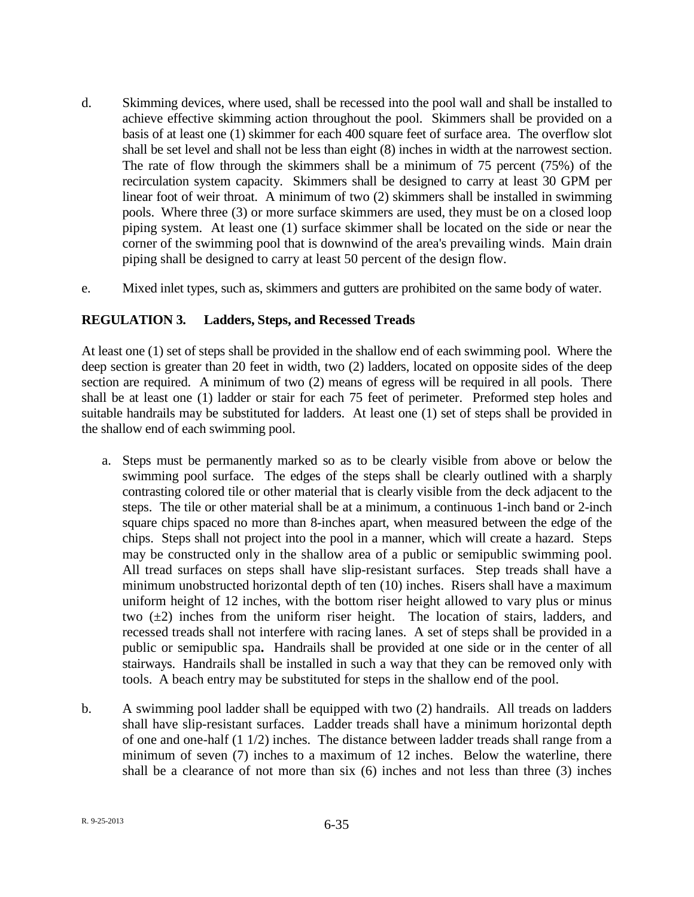- d. Skimming devices, where used, shall be recessed into the pool wall and shall be installed to achieve effective skimming action throughout the pool. Skimmers shall be provided on a basis of at least one (1) skimmer for each 400 square feet of surface area. The overflow slot shall be set level and shall not be less than eight (8) inches in width at the narrowest section. The rate of flow through the skimmers shall be a minimum of 75 percent (75%) of the recirculation system capacity. Skimmers shall be designed to carry at least 30 GPM per linear foot of weir throat. A minimum of two (2) skimmers shall be installed in swimming pools. Where three (3) or more surface skimmers are used, they must be on a closed loop piping system. At least one (1) surface skimmer shall be located on the side or near the corner of the swimming pool that is downwind of the area's prevailing winds. Main drain piping shall be designed to carry at least 50 percent of the design flow.
- e. Mixed inlet types, such as, skimmers and gutters are prohibited on the same body of water.

## **REGULATION 3. Ladders, Steps, and Recessed Treads**

At least one (1) set of steps shall be provided in the shallow end of each swimming pool. Where the deep section is greater than 20 feet in width, two (2) ladders, located on opposite sides of the deep section are required. A minimum of two (2) means of egress will be required in all pools. There shall be at least one (1) ladder or stair for each 75 feet of perimeter. Preformed step holes and suitable handrails may be substituted for ladders. At least one (1) set of steps shall be provided in the shallow end of each swimming pool.

- a. Steps must be permanently marked so as to be clearly visible from above or below the swimming pool surface. The edges of the steps shall be clearly outlined with a sharply contrasting colored tile or other material that is clearly visible from the deck adjacent to the steps. The tile or other material shall be at a minimum, a continuous 1-inch band or 2-inch square chips spaced no more than 8-inches apart, when measured between the edge of the chips. Steps shall not project into the pool in a manner, which will create a hazard. Steps may be constructed only in the shallow area of a public or semipublic swimming pool. All tread surfaces on steps shall have slip-resistant surfaces. Step treads shall have a minimum unobstructed horizontal depth of ten (10) inches. Risers shall have a maximum uniform height of 12 inches, with the bottom riser height allowed to vary plus or minus two  $(\pm 2)$  inches from the uniform riser height. The location of stairs, ladders, and recessed treads shall not interfere with racing lanes. A set of steps shall be provided in a public or semipublic spa**.** Handrails shall be provided at one side or in the center of all stairways. Handrails shall be installed in such a way that they can be removed only with tools. A beach entry may be substituted for steps in the shallow end of the pool.
- b. A swimming pool ladder shall be equipped with two (2) handrails. All treads on ladders shall have slip-resistant surfaces. Ladder treads shall have a minimum horizontal depth of one and one-half (1 1/2) inches. The distance between ladder treads shall range from a minimum of seven (7) inches to a maximum of 12 inches. Below the waterline, there shall be a clearance of not more than six (6) inches and not less than three (3) inches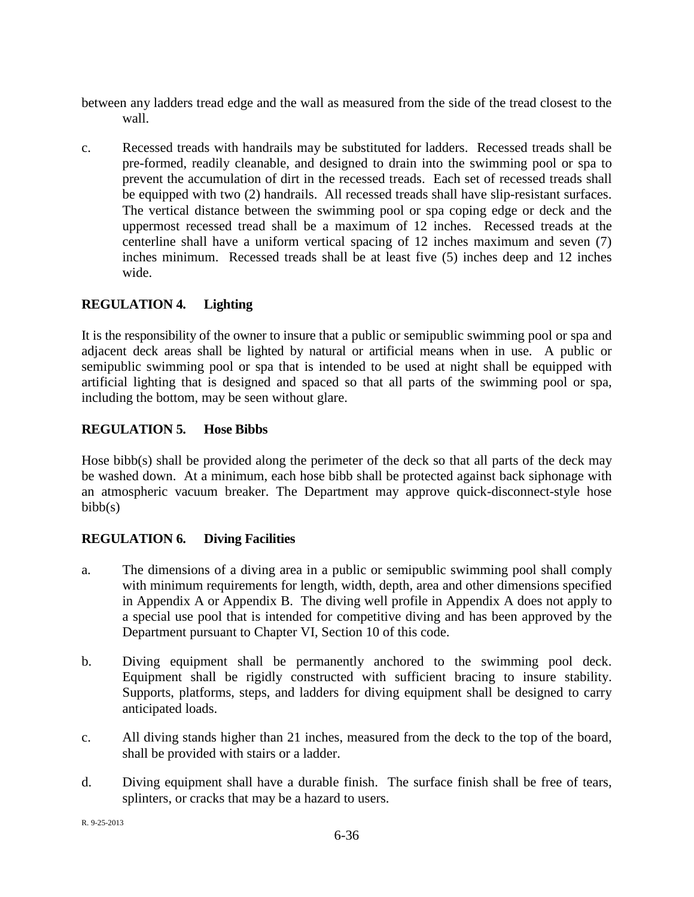- between any ladders tread edge and the wall as measured from the side of the tread closest to the wall.
- c. Recessed treads with handrails may be substituted for ladders. Recessed treads shall be pre-formed, readily cleanable, and designed to drain into the swimming pool or spa to prevent the accumulation of dirt in the recessed treads. Each set of recessed treads shall be equipped with two (2) handrails. All recessed treads shall have slip-resistant surfaces. The vertical distance between the swimming pool or spa coping edge or deck and the uppermost recessed tread shall be a maximum of 12 inches. Recessed treads at the centerline shall have a uniform vertical spacing of 12 inches maximum and seven (7) inches minimum. Recessed treads shall be at least five (5) inches deep and 12 inches wide.

# **REGULATION 4. Lighting**

It is the responsibility of the owner to insure that a public or semipublic swimming pool or spa and adjacent deck areas shall be lighted by natural or artificial means when in use. A public or semipublic swimming pool or spa that is intended to be used at night shall be equipped with artificial lighting that is designed and spaced so that all parts of the swimming pool or spa, including the bottom, may be seen without glare.

## **REGULATION 5. Hose Bibbs**

Hose bibb(s) shall be provided along the perimeter of the deck so that all parts of the deck may be washed down. At a minimum, each hose bibb shall be protected against back siphonage with an atmospheric vacuum breaker. The Department may approve quick-disconnect-style hose  $bib(s)$ 

## **REGULATION 6. Diving Facilities**

- a. The dimensions of a diving area in a public or semipublic swimming pool shall comply with minimum requirements for length, width, depth, area and other dimensions specified in Appendix A or Appendix B. The diving well profile in Appendix A does not apply to a special use pool that is intended for competitive diving and has been approved by the Department pursuant to Chapter VI, Section 10 of this code.
- b. Diving equipment shall be permanently anchored to the swimming pool deck. Equipment shall be rigidly constructed with sufficient bracing to insure stability. Supports, platforms, steps, and ladders for diving equipment shall be designed to carry anticipated loads.
- c. All diving stands higher than 21 inches, measured from the deck to the top of the board, shall be provided with stairs or a ladder.
- d. Diving equipment shall have a durable finish. The surface finish shall be free of tears, splinters, or cracks that may be a hazard to users.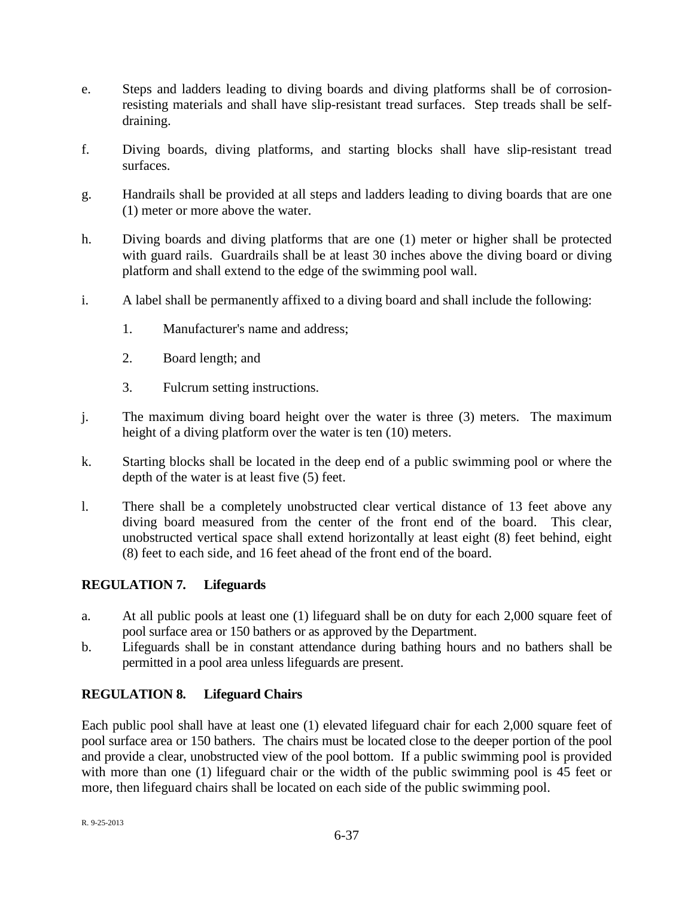- e. Steps and ladders leading to diving boards and diving platforms shall be of corrosionresisting materials and shall have slip-resistant tread surfaces. Step treads shall be selfdraining.
- f. Diving boards, diving platforms, and starting blocks shall have slip-resistant tread surfaces.
- g. Handrails shall be provided at all steps and ladders leading to diving boards that are one (1) meter or more above the water.
- h. Diving boards and diving platforms that are one (1) meter or higher shall be protected with guard rails. Guardrails shall be at least 30 inches above the diving board or diving platform and shall extend to the edge of the swimming pool wall.
- i. A label shall be permanently affixed to a diving board and shall include the following:
	- 1. Manufacturer's name and address;
	- 2. Board length; and
	- 3. Fulcrum setting instructions.
- j. The maximum diving board height over the water is three (3) meters. The maximum height of a diving platform over the water is ten (10) meters.
- k. Starting blocks shall be located in the deep end of a public swimming pool or where the depth of the water is at least five (5) feet.
- l. There shall be a completely unobstructed clear vertical distance of 13 feet above any diving board measured from the center of the front end of the board. This clear, unobstructed vertical space shall extend horizontally at least eight (8) feet behind, eight (8) feet to each side, and 16 feet ahead of the front end of the board.

## **REGULATION 7. Lifeguards**

- a. At all public pools at least one (1) lifeguard shall be on duty for each 2,000 square feet of pool surface area or 150 bathers or as approved by the Department.
- b. Lifeguards shall be in constant attendance during bathing hours and no bathers shall be permitted in a pool area unless lifeguards are present.

## **REGULATION 8. Lifeguard Chairs**

Each public pool shall have at least one (1) elevated lifeguard chair for each 2,000 square feet of pool surface area or 150 bathers. The chairs must be located close to the deeper portion of the pool and provide a clear, unobstructed view of the pool bottom. If a public swimming pool is provided with more than one (1) lifeguard chair or the width of the public swimming pool is 45 feet or more, then lifeguard chairs shall be located on each side of the public swimming pool.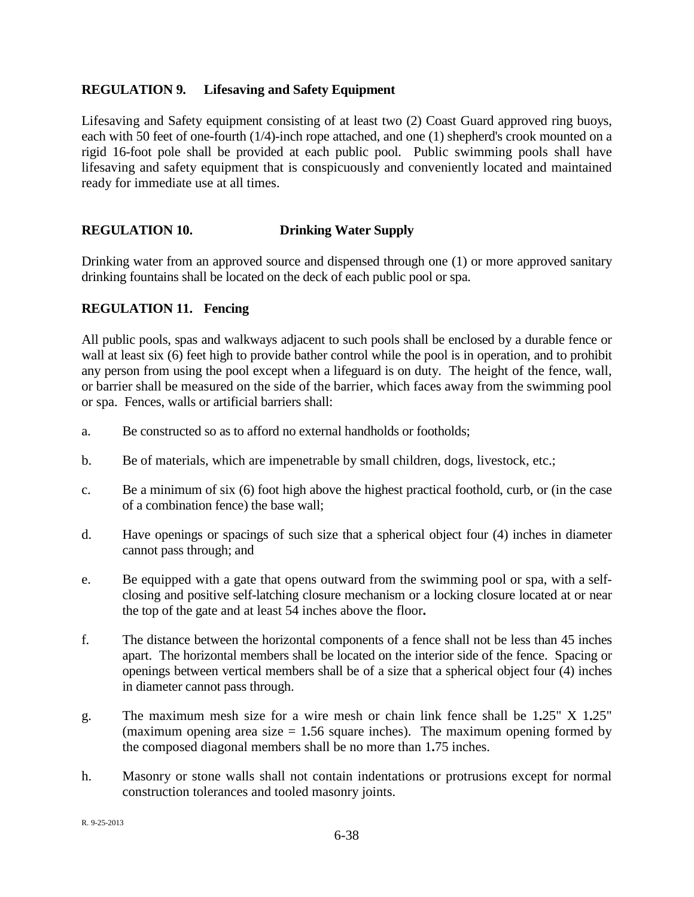#### **REGULATION 9. Lifesaving and Safety Equipment**

Lifesaving and Safety equipment consisting of at least two (2) Coast Guard approved ring buoys, each with 50 feet of one-fourth (1/4)-inch rope attached, and one (1) shepherd's crook mounted on a rigid 16-foot pole shall be provided at each public pool. Public swimming pools shall have lifesaving and safety equipment that is conspicuously and conveniently located and maintained ready for immediate use at all times.

### **REGULATION 10. Drinking Water Supply**

Drinking water from an approved source and dispensed through one (1) or more approved sanitary drinking fountains shall be located on the deck of each public pool or spa.

### **REGULATION 11. Fencing**

All public pools, spas and walkways adjacent to such pools shall be enclosed by a durable fence or wall at least six (6) feet high to provide bather control while the pool is in operation, and to prohibit any person from using the pool except when a lifeguard is on duty. The height of the fence, wall, or barrier shall be measured on the side of the barrier, which faces away from the swimming pool or spa. Fences, walls or artificial barriers shall:

- a. Be constructed so as to afford no external handholds or footholds;
- b. Be of materials, which are impenetrable by small children, dogs, livestock, etc.;
- c. Be a minimum of six (6) foot high above the highest practical foothold, curb, or (in the case of a combination fence) the base wall;
- d. Have openings or spacings of such size that a spherical object four (4) inches in diameter cannot pass through; and
- e. Be equipped with a gate that opens outward from the swimming pool or spa, with a selfclosing and positive self-latching closure mechanism or a locking closure located at or near the top of the gate and at least 54 inches above the floor**.**
- f. The distance between the horizontal components of a fence shall not be less than 45 inches apart. The horizontal members shall be located on the interior side of the fence. Spacing or openings between vertical members shall be of a size that a spherical object four (4) inches in diameter cannot pass through.
- g. The maximum mesh size for a wire mesh or chain link fence shall be 1**.**25" X 1**.**25" (maximum opening area size  $= 1.56$  square inches). The maximum opening formed by the composed diagonal members shall be no more than 1**.**75 inches.
- h. Masonry or stone walls shall not contain indentations or protrusions except for normal construction tolerances and tooled masonry joints.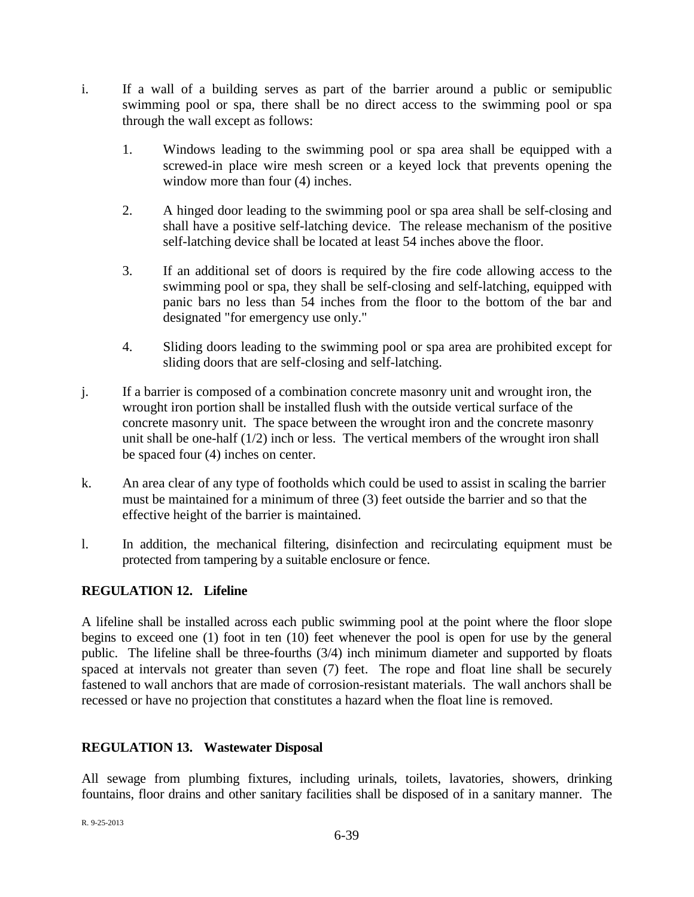- i. If a wall of a building serves as part of the barrier around a public or semipublic swimming pool or spa, there shall be no direct access to the swimming pool or spa through the wall except as follows:
	- 1. Windows leading to the swimming pool or spa area shall be equipped with a screwed-in place wire mesh screen or a keyed lock that prevents opening the window more than four  $(4)$  inches.
	- 2. A hinged door leading to the swimming pool or spa area shall be self-closing and shall have a positive self-latching device. The release mechanism of the positive self-latching device shall be located at least 54 inches above the floor.
	- 3. If an additional set of doors is required by the fire code allowing access to the swimming pool or spa, they shall be self-closing and self-latching, equipped with panic bars no less than 54 inches from the floor to the bottom of the bar and designated "for emergency use only."
	- 4. Sliding doors leading to the swimming pool or spa area are prohibited except for sliding doors that are self-closing and self-latching.
- j. If a barrier is composed of a combination concrete masonry unit and wrought iron, the wrought iron portion shall be installed flush with the outside vertical surface of the concrete masonry unit. The space between the wrought iron and the concrete masonry unit shall be one-half (1/2) inch or less. The vertical members of the wrought iron shall be spaced four (4) inches on center.
- k. An area clear of any type of footholds which could be used to assist in scaling the barrier must be maintained for a minimum of three (3) feet outside the barrier and so that the effective height of the barrier is maintained.
- l. In addition, the mechanical filtering, disinfection and recirculating equipment must be protected from tampering by a suitable enclosure or fence.

## **REGULATION 12. Lifeline**

A lifeline shall be installed across each public swimming pool at the point where the floor slope begins to exceed one (1) foot in ten (10) feet whenever the pool is open for use by the general public. The lifeline shall be three-fourths (3/4) inch minimum diameter and supported by floats spaced at intervals not greater than seven (7) feet. The rope and float line shall be securely fastened to wall anchors that are made of corrosion-resistant materials. The wall anchors shall be recessed or have no projection that constitutes a hazard when the float line is removed.

## **REGULATION 13. Wastewater Disposal**

All sewage from plumbing fixtures, including urinals, toilets, lavatories, showers, drinking fountains, floor drains and other sanitary facilities shall be disposed of in a sanitary manner. The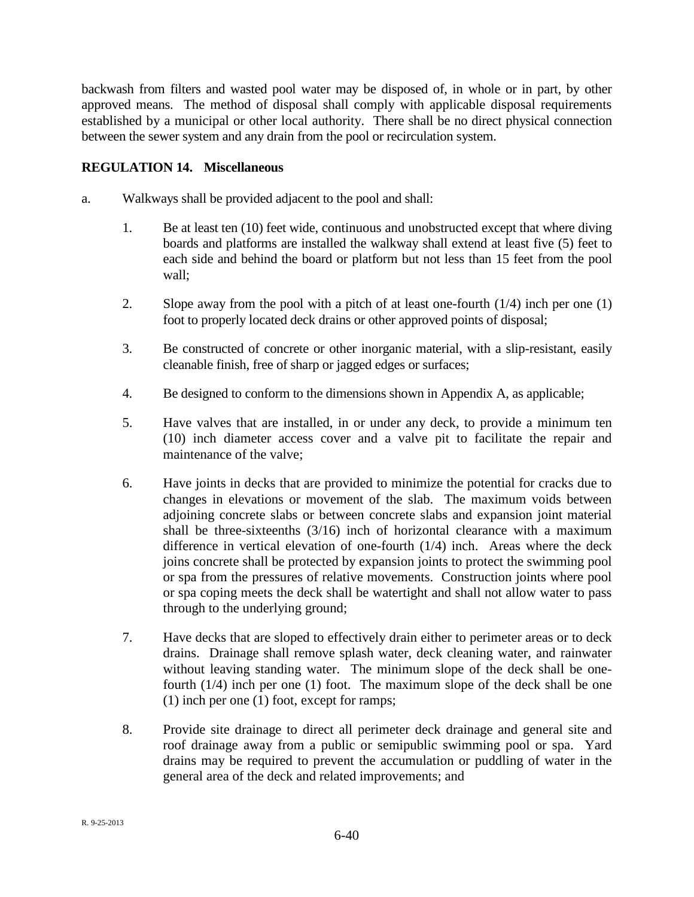backwash from filters and wasted pool water may be disposed of, in whole or in part, by other approved means. The method of disposal shall comply with applicable disposal requirements established by a municipal or other local authority. There shall be no direct physical connection between the sewer system and any drain from the pool or recirculation system.

## **REGULATION 14. Miscellaneous**

- a. Walkways shall be provided adjacent to the pool and shall:
	- 1. Be at least ten (10) feet wide, continuous and unobstructed except that where diving boards and platforms are installed the walkway shall extend at least five (5) feet to each side and behind the board or platform but not less than 15 feet from the pool wall;
	- 2. Slope away from the pool with a pitch of at least one-fourth (1/4) inch per one (1) foot to properly located deck drains or other approved points of disposal;
	- 3. Be constructed of concrete or other inorganic material, with a slip-resistant, easily cleanable finish, free of sharp or jagged edges or surfaces;
	- 4. Be designed to conform to the dimensions shown in Appendix A, as applicable;
	- 5. Have valves that are installed, in or under any deck, to provide a minimum ten (10) inch diameter access cover and a valve pit to facilitate the repair and maintenance of the valve;
	- 6. Have joints in decks that are provided to minimize the potential for cracks due to changes in elevations or movement of the slab. The maximum voids between adjoining concrete slabs or between concrete slabs and expansion joint material shall be three-sixteenths  $(3/16)$  inch of horizontal clearance with a maximum difference in vertical elevation of one-fourth (1/4) inch. Areas where the deck joins concrete shall be protected by expansion joints to protect the swimming pool or spa from the pressures of relative movements. Construction joints where pool or spa coping meets the deck shall be watertight and shall not allow water to pass through to the underlying ground;
	- 7. Have decks that are sloped to effectively drain either to perimeter areas or to deck drains. Drainage shall remove splash water, deck cleaning water, and rainwater without leaving standing water. The minimum slope of the deck shall be onefourth (1/4) inch per one (1) foot. The maximum slope of the deck shall be one (1) inch per one (1) foot, except for ramps;
	- 8. Provide site drainage to direct all perimeter deck drainage and general site and roof drainage away from a public or semipublic swimming pool or spa. Yard drains may be required to prevent the accumulation or puddling of water in the general area of the deck and related improvements; and